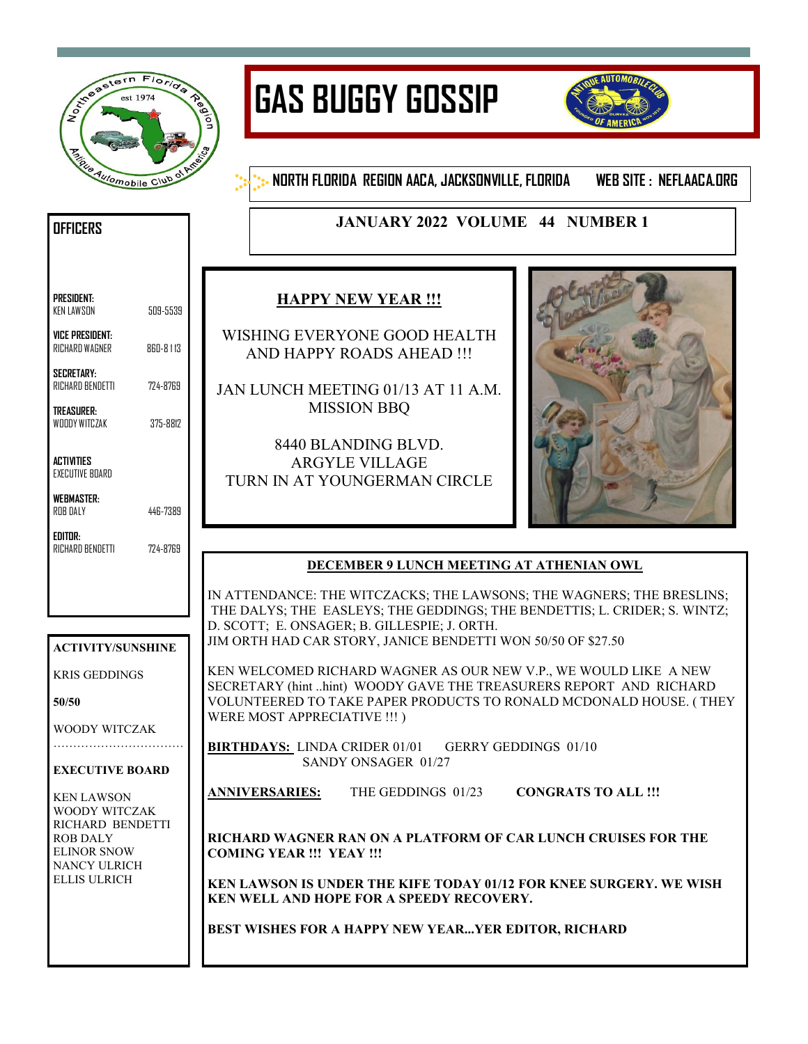

# **GAS BUGGY GOSSIP**



**NORTH FLORIDA REGION AACA, JACKSONVILLE, FLORIDA WEB SITE : NEFLAACA.ORG**

# **JANUARY 2022 VOLUME 44 NUMBER 1**

| PRESIDENT: |          |
|------------|----------|
| KEN LAWSON | 509-5539 |

**OFFICERS** 

**VICE PRESIDENT:**  RICHARD WAGNER 860-8 1 13

**SECRETARY:**  RICHARD BENDETTI 724-8769

**TREASURER:**  WOODY WITCZAK 375-8812

**ACTIVITIES**  EXECUTIVE BOARD

**WEBMASTER:**  ROB DALY 446-7389

**EDITOR:**  RICHARD BENDETTI 724-8769

**ACTIVITY/SUNSHINE**

KRIS GEDDINGS

WOODY WITCZAK …………………………

**EXECUTIVE BOARD**

KEN LAWSON WOODY WITCZAK RICHARD BENDETTI

ROB DALY ELINOR SNOW NANCY ULRICH ELLIS ULRICH

**50/50**

## **HAPPY NEW YEAR !!!**

WISHING EVERYONE GOOD HEALTH AND HAPPY ROADS AHEAD !!!

JAN LUNCH MEETING 01/13 AT 11 A.M. MISSION BBQ

8440 BLANDING BLVD. ARGYLE VILLAGE TURN IN AT YOUNGERMAN CIRCLE



## **DECEMBER 9 LUNCH MEETING AT ATHENIAN OWL**

IN ATTENDANCE: THE WITCZACKS; THE LAWSONS; THE WAGNERS; THE BRESLINS; THE DALYS; THE EASLEYS; THE GEDDINGS; THE BENDETTIS; L. CRIDER; S. WINTZ; D. SCOTT; E. ONSAGER; B. GILLESPIE; J. ORTH. JIM ORTH HAD CAR STORY, JANICE BENDETTI WON 50/50 OF \$27.50

KEN WELCOMED RICHARD WAGNER AS OUR NEW V.P., WE WOULD LIKE A NEW SECRETARY (hint ..hint) WOODY GAVE THE TREASURERS REPORT AND RICHARD VOLUNTEERED TO TAKE PAPER PRODUCTS TO RONALD MCDONALD HOUSE. ( THEY WERE MOST APPRECIATIVE !!! )

**BIRTHDAYS:** LINDA CRIDER 01/01 GERRY GEDDINGS 01/10 SANDY ONSAGER 01/27

**ANNIVERSARIES:** THE GEDDINGS 01/23 **CONGRATS TO ALL !!!**

**RICHARD WAGNER RAN ON A PLATFORM OF CAR LUNCH CRUISES FOR THE COMING YEAR !!! YEAY !!!**

**KEN LAWSON IS UNDER THE KIFE TODAY 01/12 FOR KNEE SURGERY. WE WISH KEN WELL AND HOPE FOR A SPEEDY RECOVERY.**

**BEST WISHES FOR A HAPPY NEW YEAR...YER EDITOR, RICHARD**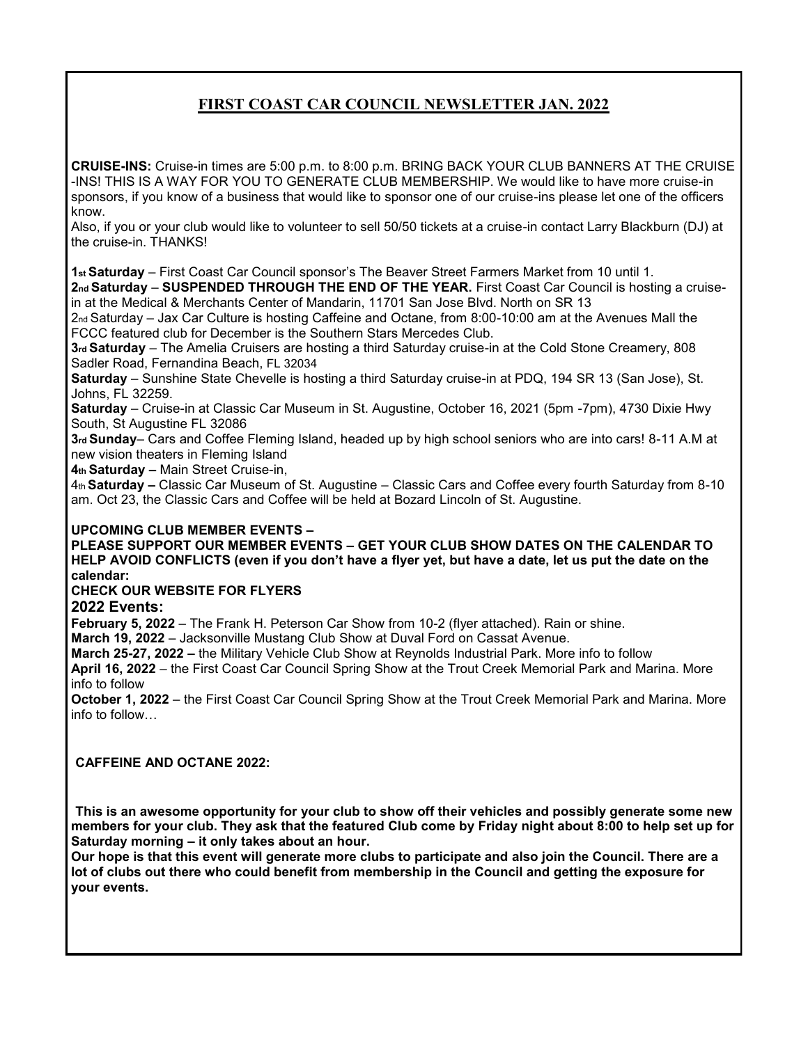## **FIRST COAST CAR COUNCIL NEWSLETTER JAN. 2022**

**CRUISE-INS:** Cruise-in times are 5:00 p.m. to 8:00 p.m. BRING BACK YOUR CLUB BANNERS AT THE CRUISE -INS! THIS IS A WAY FOR YOU TO GENERATE CLUB MEMBERSHIP. We would like to have more cruise-in sponsors, if you know of a business that would like to sponsor one of our cruise-ins please let one of the officers know.

Also, if you or your club would like to volunteer to sell 50/50 tickets at a cruise-in contact Larry Blackburn (DJ) at the cruise-in. THANKS!

**1st Saturday** – First Coast Car Council sponsor's The Beaver Street Farmers Market from 10 until 1.

2<sup>nd</sup> Saturday – SUSPENDED THROUGH THE END OF THE YEAR. First Coast Car Council is hosting a cruisein at the Medical & Merchants Center of Mandarin, 11701 San Jose Blvd. North on SR 13

2<sub>nd</sub> Saturday – Jax Car Culture is hosting Caffeine and Octane, from 8:00-10:00 am at the Avenues Mall the FCCC featured club for December is the Southern Stars Mercedes Club.

**3rd Saturday** – The Amelia Cruisers are hosting a third Saturday cruise-in at the Cold Stone Creamery, 808 Sadler Road, Fernandina Beach, FL 32034

**Saturday** – Sunshine State Chevelle is hosting a third Saturday cruise-in at PDQ, 194 SR 13 (San Jose), St. Johns, FL 32259.

**Saturday** – Cruise-in at Classic Car Museum in St. Augustine, October 16, 2021 (5pm -7pm), 4730 Dixie Hwy South, St Augustine FL 32086

**3rd Sunday**– Cars and Coffee Fleming Island, headed up by high school seniors who are into cars! 8-11 A.M at new vision theaters in Fleming Island

**4th Saturday –** Main Street Cruise-in,

4th **Saturday –** Classic Car Museum of St. Augustine – Classic Cars and Coffee every fourth Saturday from 8-10 am. Oct 23, the Classic Cars and Coffee will be held at Bozard Lincoln of St. Augustine.

#### **UPCOMING CLUB MEMBER EVENTS –**

**PLEASE SUPPORT OUR MEMBER EVENTS – GET YOUR CLUB SHOW DATES ON THE CALENDAR TO HELP AVOID CONFLICTS (even if you don't have a flyer yet, but have a date, let us put the date on the calendar:** 

#### **CHECK OUR WEBSITE FOR FLYERS**

**2022 Events:** 

**February 5, 2022** – The Frank H. Peterson Car Show from 10-2 (flyer attached). Rain or shine.

**March 19, 2022** – Jacksonville Mustang Club Show at Duval Ford on Cassat Avenue.

**March 25-27, 2022 –** the Military Vehicle Club Show at Reynolds Industrial Park. More info to follow

**April 16, 2022** – the First Coast Car Council Spring Show at the Trout Creek Memorial Park and Marina. More info to follow

**October 1, 2022** – the First Coast Car Council Spring Show at the Trout Creek Memorial Park and Marina. More info to follow…

#### **CAFFEINE AND OCTANE 2022:**

**This is an awesome opportunity for your club to show off their vehicles and possibly generate some new members for your club. They ask that the featured Club come by Friday night about 8:00 to help set up for Saturday morning – it only takes about an hour.** 

**Our hope is that this event will generate more clubs to participate and also join the Council. There are a lot of clubs out there who could benefit from membership in the Council and getting the exposure for your events.**